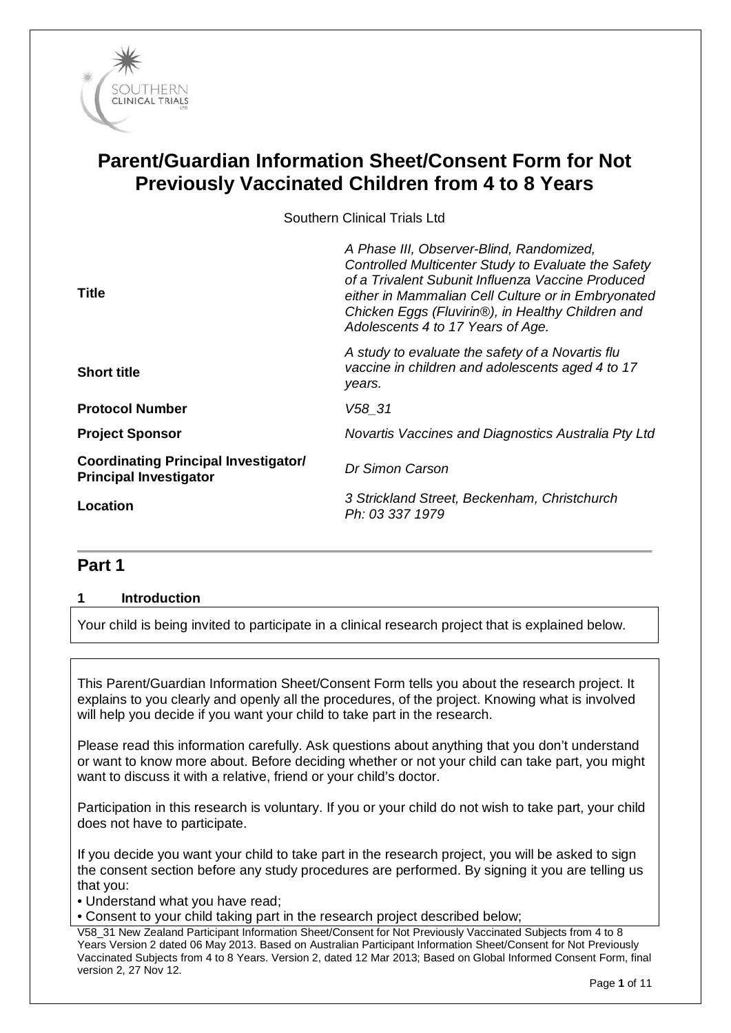

# **Parent/Guardian Information Sheet/Consent Form for Not Previously Vaccinated Children from 4 to 8 Years**

Southern Clinical Trials Ltd

| <b>Title</b>                                                                 | A Phase III, Observer-Blind, Randomized,<br>Controlled Multicenter Study to Evaluate the Safety<br>of a Trivalent Subunit Influenza Vaccine Produced<br>either in Mammalian Cell Culture or in Embryonated<br>Chicken Eggs (Fluvirin®), in Healthy Children and<br>Adolescents 4 to 17 Years of Age. |
|------------------------------------------------------------------------------|------------------------------------------------------------------------------------------------------------------------------------------------------------------------------------------------------------------------------------------------------------------------------------------------------|
| <b>Short title</b>                                                           | A study to evaluate the safety of a Novartis flu<br>vaccine in children and adolescents aged 4 to 17<br>years.                                                                                                                                                                                       |
| <b>Protocol Number</b>                                                       | V58 31                                                                                                                                                                                                                                                                                               |
| <b>Project Sponsor</b>                                                       | Novartis Vaccines and Diagnostics Australia Pty Ltd                                                                                                                                                                                                                                                  |
| <b>Coordinating Principal Investigator/</b><br><b>Principal Investigator</b> | Dr Simon Carson                                                                                                                                                                                                                                                                                      |
| Location                                                                     | 3 Strickland Street, Beckenham, Christchurch<br>Ph: 03 337 1979                                                                                                                                                                                                                                      |
|                                                                              |                                                                                                                                                                                                                                                                                                      |

## **Part 1**

### **1 Introduction**

Your child is being invited to participate in a clinical research project that is explained below.

This Parent/Guardian Information Sheet/Consent Form tells you about the research project. It explains to you clearly and openly all the procedures, of the project. Knowing what is involved will help you decide if you want your child to take part in the research.

Please read this information carefully. Ask questions about anything that you don't understand or want to know more about. Before deciding whether or not your child can take part, you might want to discuss it with a relative, friend or your child's doctor.

Participation in this research is voluntary. If you or your child do not wish to take part, your child does not have to participate.

If you decide you want your child to take part in the research project, you will be asked to sign the consent section before any study procedures are performed. By signing it you are telling us that you:

• Understand what you have read;

• Consent to your child taking part in the research project described below;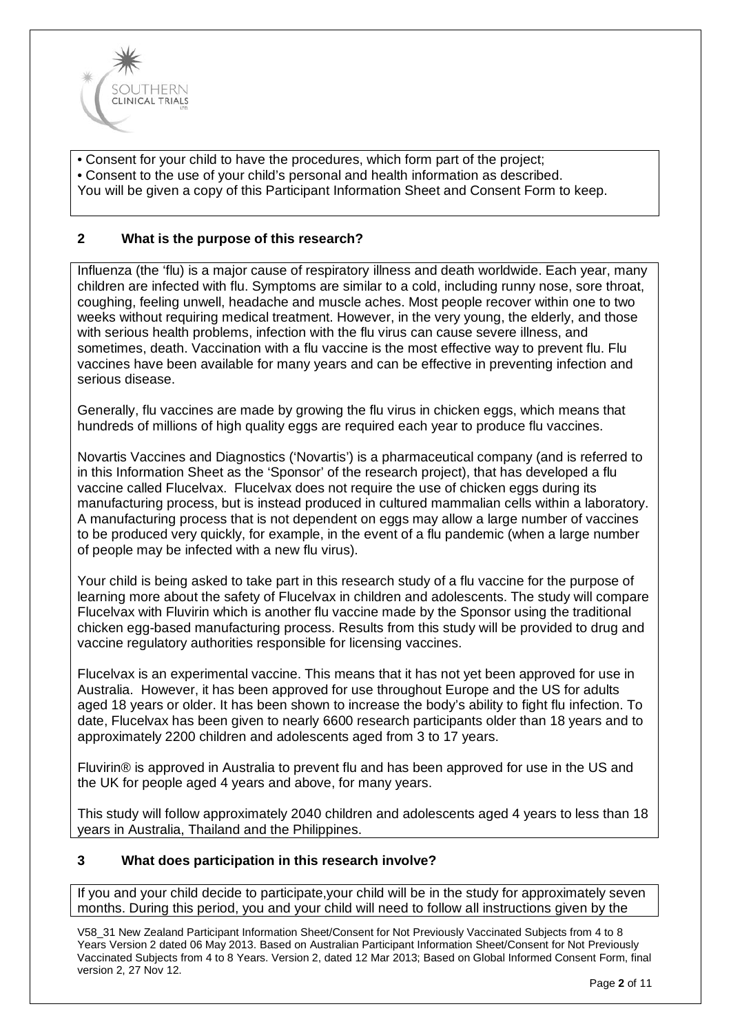

• Consent for your child to have the procedures, which form part of the project; • Consent to the use of your child's personal and health information as described. You will be given a copy of this Participant Information Sheet and Consent Form to keep.

## **2 What is the purpose of this research?**

Influenza (the 'flu) is a major cause of respiratory illness and death worldwide. Each year, many children are infected with flu. Symptoms are similar to a cold, including runny nose, sore throat, coughing, feeling unwell, headache and muscle aches. Most people recover within one to two weeks without requiring medical treatment. However, in the very young, the elderly, and those with serious health problems, infection with the flu virus can cause severe illness, and sometimes, death. Vaccination with a flu vaccine is the most effective way to prevent flu. Flu vaccines have been available for many years and can be effective in preventing infection and serious disease.

Generally, flu vaccines are made by growing the flu virus in chicken eggs, which means that hundreds of millions of high quality eggs are required each year to produce flu vaccines.

Novartis Vaccines and Diagnostics ('Novartis') is a pharmaceutical company (and is referred to in this Information Sheet as the 'Sponsor' of the research project), that has developed a flu vaccine called Flucelvax. Flucelvax does not require the use of chicken eggs during its manufacturing process, but is instead produced in cultured mammalian cells within a laboratory. A manufacturing process that is not dependent on eggs may allow a large number of vaccines to be produced very quickly, for example, in the event of a flu pandemic (when a large number of people may be infected with a new flu virus).

Your child is being asked to take part in this research study of a flu vaccine for the purpose of learning more about the safety of Flucelvax in children and adolescents. The study will compare Flucelvax with Fluvirin which is another flu vaccine made by the Sponsor using the traditional chicken egg-based manufacturing process. Results from this study will be provided to drug and vaccine regulatory authorities responsible for licensing vaccines.

Flucelvax is an experimental vaccine. This means that it has not yet been approved for use in Australia. However, it has been approved for use throughout Europe and the US for adults aged 18 years or older. It has been shown to increase the body's ability to fight flu infection. To date, Flucelvax has been given to nearly 6600 research participants older than 18 years and to approximately 2200 children and adolescents aged from 3 to 17 years.

Fluvirin® is approved in Australia to prevent flu and has been approved for use in the US and the UK for people aged 4 years and above, for many years.

This study will follow approximately 2040 children and adolescents aged 4 years to less than 18 years in Australia, Thailand and the Philippines.

### **3 What does participation in this research involve?**

If you and your child decide to participate,your child will be in the study for approximately seven months. During this period, you and your child will need to follow all instructions given by the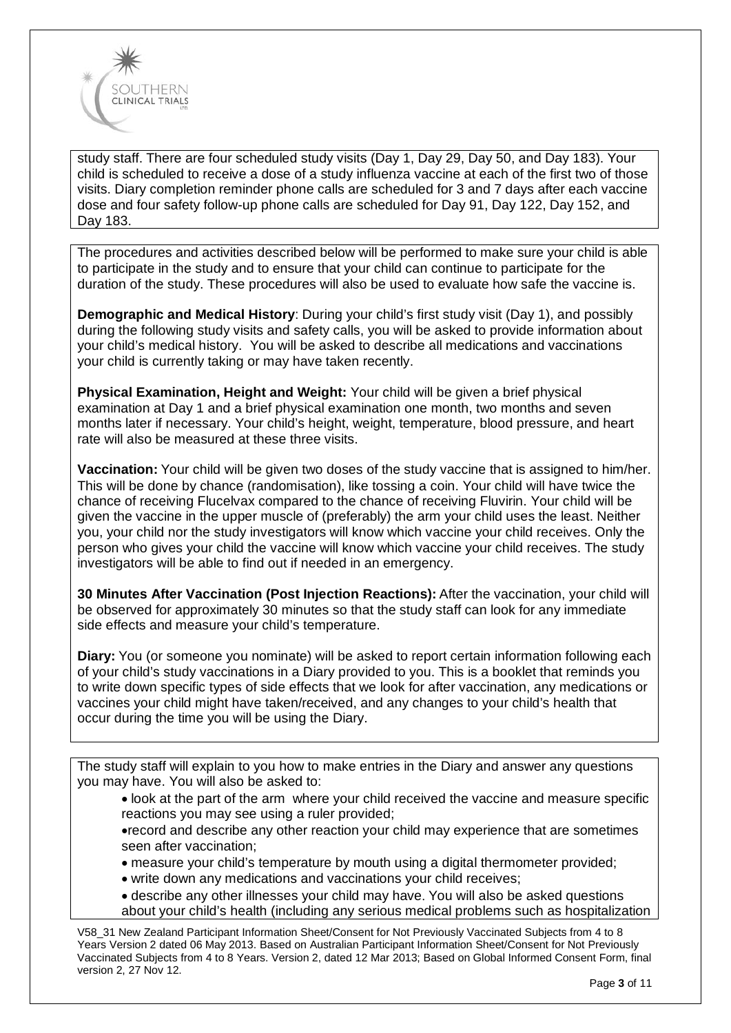

study staff. There are four scheduled study visits (Day 1, Day 29, Day 50, and Day 183). Your child is scheduled to receive a dose of a study influenza vaccine at each of the first two of those visits. Diary completion reminder phone calls are scheduled for 3 and 7 days after each vaccine dose and four safety follow-up phone calls are scheduled for Day 91, Day 122, Day 152, and Day 183.

The procedures and activities described below will be performed to make sure your child is able to participate in the study and to ensure that your child can continue to participate for the duration of the study. These procedures will also be used to evaluate how safe the vaccine is.

**Demographic and Medical History**: During your child's first study visit (Day 1), and possibly during the following study visits and safety calls, you will be asked to provide information about your child's medical history. You will be asked to describe all medications and vaccinations your child is currently taking or may have taken recently.

**Physical Examination, Height and Weight:** Your child will be given a brief physical examination at Day 1 and a brief physical examination one month, two months and seven months later if necessary. Your child's height, weight, temperature, blood pressure, and heart rate will also be measured at these three visits.

**Vaccination:** Your child will be given two doses of the study vaccine that is assigned to him/her. This will be done by chance (randomisation), like tossing a coin. Your child will have twice the chance of receiving Flucelvax compared to the chance of receiving Fluvirin. Your child will be given the vaccine in the upper muscle of (preferably) the arm your child uses the least. Neither you, your child nor the study investigators will know which vaccine your child receives. Only the person who gives your child the vaccine will know which vaccine your child receives. The study investigators will be able to find out if needed in an emergency.

**30 Minutes After Vaccination (Post Injection Reactions):** After the vaccination, your child will be observed for approximately 30 minutes so that the study staff can look for any immediate side effects and measure your child's temperature.

**Diary:** You (or someone you nominate) will be asked to report certain information following each of your child's study vaccinations in a Diary provided to you. This is a booklet that reminds you to write down specific types of side effects that we look for after vaccination, any medications or vaccines your child might have taken/received, and any changes to your child's health that occur during the time you will be using the Diary.

The study staff will explain to you how to make entries in the Diary and answer any questions you may have. You will also be asked to:

• look at the part of the arm where your child received the vaccine and measure specific reactions you may see using a ruler provided;

•record and describe any other reaction your child may experience that are sometimes seen after vaccination;

• measure your child's temperature by mouth using a digital thermometer provided;

- write down any medications and vaccinations your child receives;
- describe any other illnesses your child may have. You will also be asked questions about your child's health (including any serious medical problems such as hospitalization

V58\_31 New Zealand Participant Information Sheet/Consent for Not Previously Vaccinated Subjects from 4 to 8 Years Version 2 dated 06 May 2013. Based on Australian Participant Information Sheet/Consent for Not Previously Vaccinated Subjects from 4 to 8 Years. Version 2, dated 12 Mar 2013; Based on Global Informed Consent Form, final version 2, 27 Nov 12.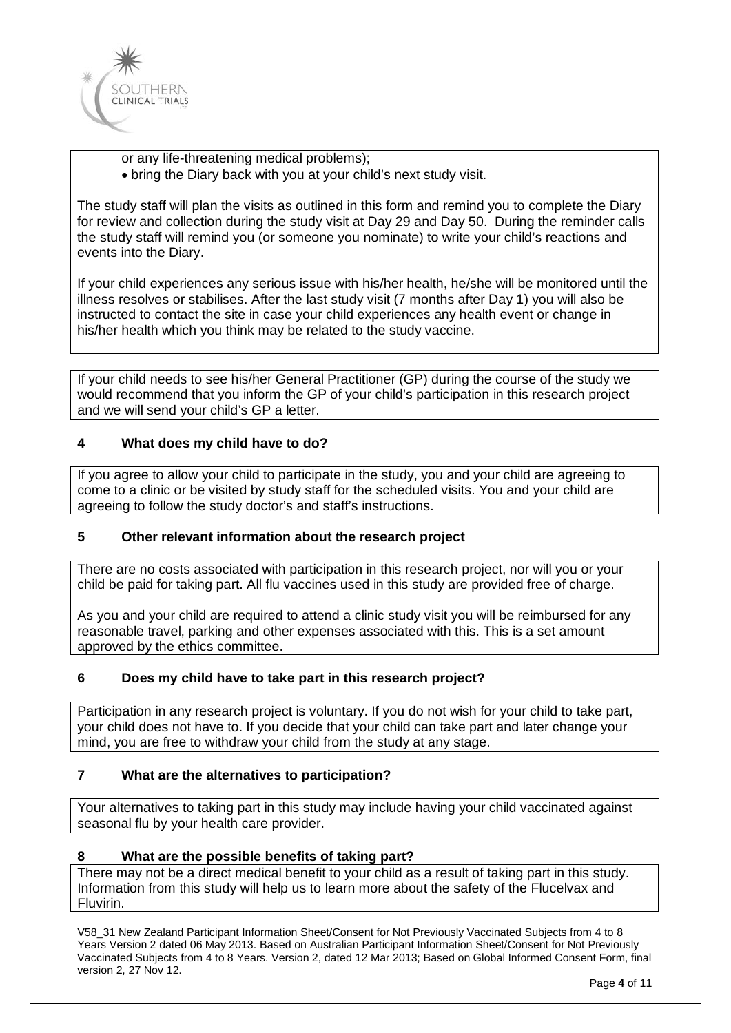

or any life-threatening medical problems);

• bring the Diary back with you at your child's next study visit.

The study staff will plan the visits as outlined in this form and remind you to complete the Diary for review and collection during the study visit at Day 29 and Day 50. During the reminder calls the study staff will remind you (or someone you nominate) to write your child's reactions and events into the Diary.

If your child experiences any serious issue with his/her health, he/she will be monitored until the illness resolves or stabilises. After the last study visit (7 months after Day 1) you will also be instructed to contact the site in case your child experiences any health event or change in his/her health which you think may be related to the study vaccine.

If your child needs to see his/her General Practitioner (GP) during the course of the study we would recommend that you inform the GP of your child's participation in this research project and we will send your child's GP a letter.

#### **4 What does my child have to do?**

If you agree to allow your child to participate in the study, you and your child are agreeing to come to a clinic or be visited by study staff for the scheduled visits. You and your child are agreeing to follow the study doctor's and staff's instructions.

## **5 Other relevant information about the research project**

There are no costs associated with participation in this research project, nor will you or your child be paid for taking part. All flu vaccines used in this study are provided free of charge.

As you and your child are required to attend a clinic study visit you will be reimbursed for any reasonable travel, parking and other expenses associated with this. This is a set amount approved by the ethics committee.

#### **6 Does my child have to take part in this research project?**

Participation in any research project is voluntary. If you do not wish for your child to take part, your child does not have to. If you decide that your child can take part and later change your mind, you are free to withdraw your child from the study at any stage.

#### **7 What are the alternatives to participation?**

Your alternatives to taking part in this study may include having your child vaccinated against seasonal flu by your health care provider.

### **8 What are the possible benefits of taking part?**

There may not be a direct medical benefit to your child as a result of taking part in this study. Information from this study will help us to learn more about the safety of the Flucelvax and Fluvirin.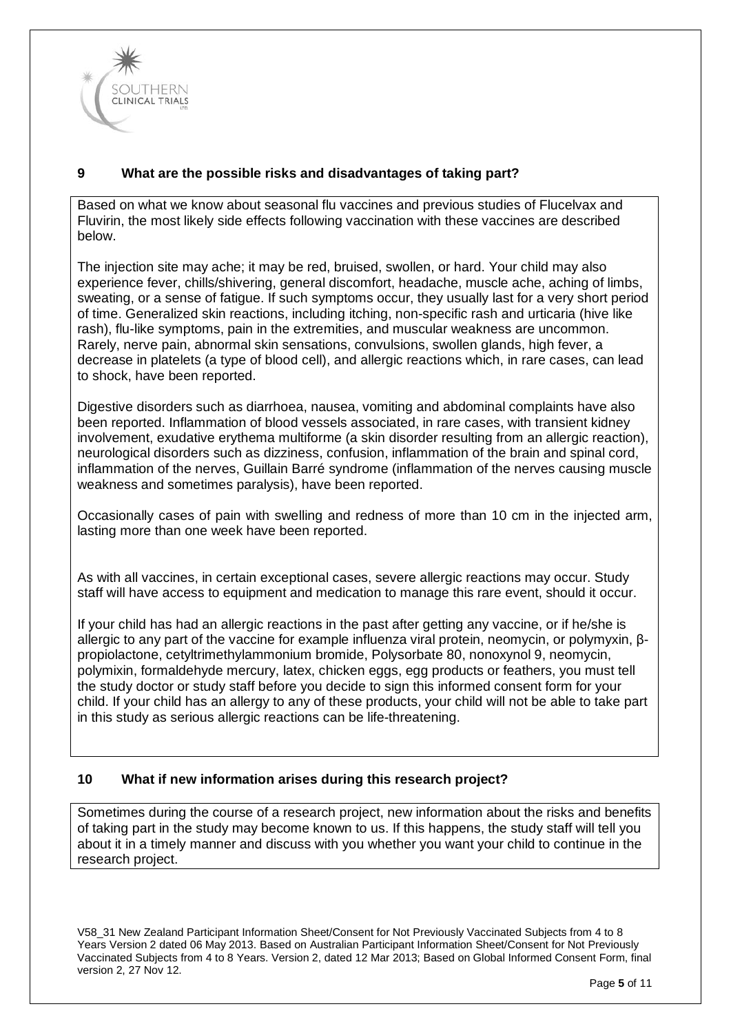

## **9 What are the possible risks and disadvantages of taking part?**

Based on what we know about seasonal flu vaccines and previous studies of Flucelvax and Fluvirin, the most likely side effects following vaccination with these vaccines are described below.

The injection site may ache; it may be red, bruised, swollen, or hard. Your child may also experience fever, chills/shivering, general discomfort, headache, muscle ache, aching of limbs, sweating, or a sense of fatigue. If such symptoms occur, they usually last for a very short period of time. Generalized skin reactions, including itching, non-specific rash and urticaria (hive like rash), flu-like symptoms, pain in the extremities, and muscular weakness are uncommon. Rarely, nerve pain, abnormal skin sensations, convulsions, swollen glands, high fever, a decrease in platelets (a type of blood cell), and allergic reactions which, in rare cases, can lead to shock, have been reported.

Digestive disorders such as diarrhoea, nausea, vomiting and abdominal complaints have also been reported. Inflammation of blood vessels associated, in rare cases, with transient kidney involvement, exudative erythema multiforme (a skin disorder resulting from an allergic reaction), neurological disorders such as dizziness, confusion, inflammation of the brain and spinal cord, inflammation of the nerves, Guillain Barré syndrome (inflammation of the nerves causing muscle weakness and sometimes paralysis), have been reported.

Occasionally cases of pain with swelling and redness of more than 10 cm in the injected arm, lasting more than one week have been reported.

As with all vaccines, in certain exceptional cases, severe allergic reactions may occur. Study staff will have access to equipment and medication to manage this rare event, should it occur.

If your child has had an allergic reactions in the past after getting any vaccine, or if he/she is allergic to any part of the vaccine for example influenza viral protein, neomycin, or polymyxin, βpropiolactone, cetyltrimethylammonium bromide, Polysorbate 80, nonoxynol 9, neomycin, polymixin, formaldehyde mercury, latex, chicken eggs, egg products or feathers, you must tell the study doctor or study staff before you decide to sign this informed consent form for your child. If your child has an allergy to any of these products, your child will not be able to take part in this study as serious allergic reactions can be life-threatening.

### **10 What if new information arises during this research project?**

Sometimes during the course of a research project, new information about the risks and benefits of taking part in the study may become known to us. If this happens, the study staff will tell you about it in a timely manner and discuss with you whether you want your child to continue in the research project.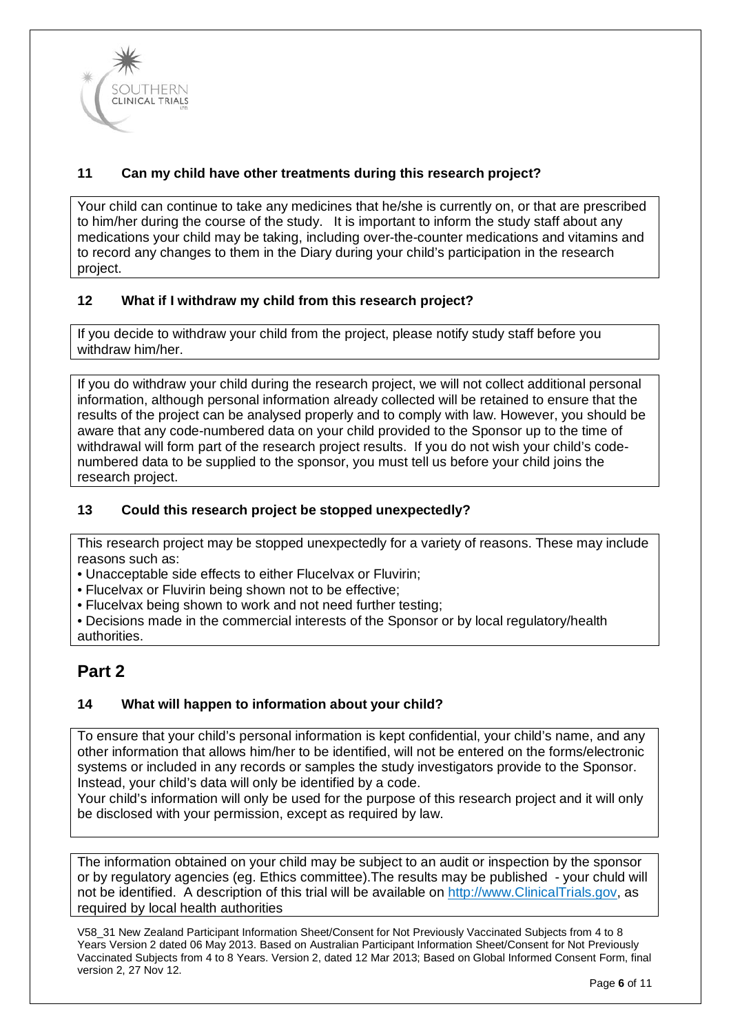

## **11 Can my child have other treatments during this research project?**

Your child can continue to take any medicines that he/she is currently on, or that are prescribed to him/her during the course of the study. It is important to inform the study staff about any medications your child may be taking, including over-the-counter medications and vitamins and to record any changes to them in the Diary during your child's participation in the research project.

## **12 What if I withdraw my child from this research project?**

If you decide to withdraw your child from the project, please notify study staff before you withdraw him/her.

If you do withdraw your child during the research project, we will not collect additional personal information, although personal information already collected will be retained to ensure that the results of the project can be analysed properly and to comply with law. However, you should be aware that any code-numbered data on your child provided to the Sponsor up to the time of withdrawal will form part of the research project results. If you do not wish your child's codenumbered data to be supplied to the sponsor, you must tell us before your child joins the research project.

## **13 Could this research project be stopped unexpectedly?**

This research project may be stopped unexpectedly for a variety of reasons. These may include reasons such as:

• Unacceptable side effects to either Flucelvax or Fluvirin;

- Flucelvax or Fluvirin being shown not to be effective;
- Flucelvax being shown to work and not need further testing;

• Decisions made in the commercial interests of the Sponsor or by local regulatory/health authorities.

## **Part 2**

### **14 What will happen to information about your child?**

To ensure that your child's personal information is kept confidential, your child's name, and any other information that allows him/her to be identified, will not be entered on the forms/electronic systems or included in any records or samples the study investigators provide to the Sponsor. Instead, your child's data will only be identified by a code.

Your child's information will only be used for the purpose of this research project and it will only be disclosed with your permission, except as required by law.

The information obtained on your child may be subject to an audit or inspection by the sponsor or by regulatory agencies (eg. Ethics committee).The results may be published - your chuld will not be identified. A description of this trial will be available on http://www.ClinicalTrials.gov, as required by local health authorities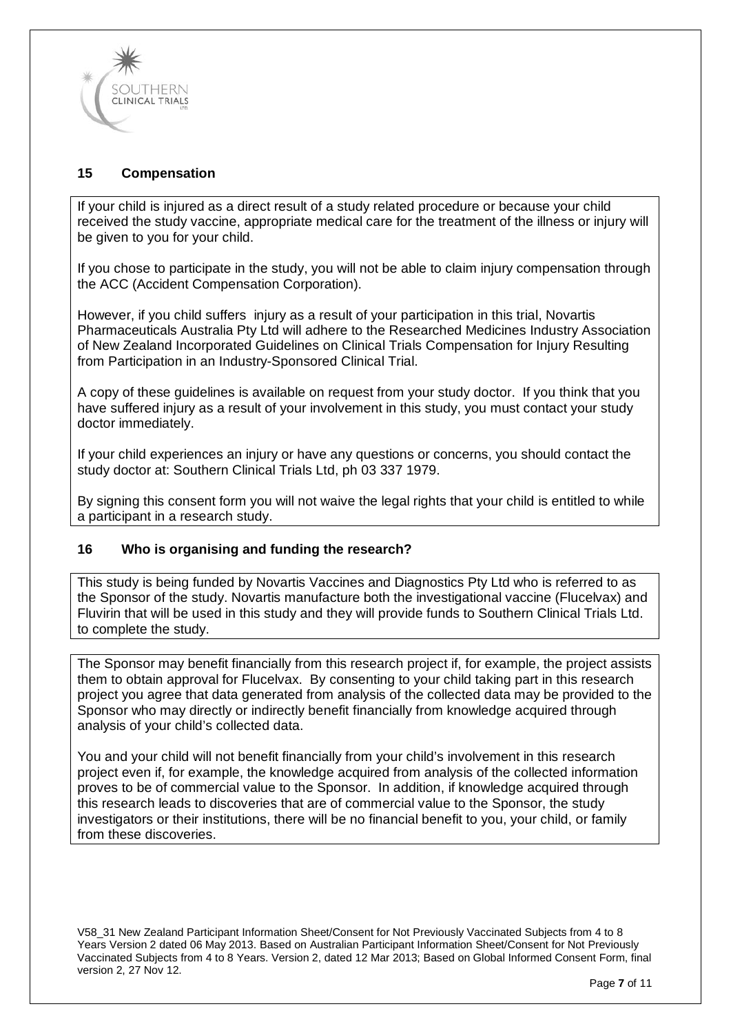

## **15 Compensation**

If your child is injured as a direct result of a study related procedure or because your child received the study vaccine, appropriate medical care for the treatment of the illness or injury will be given to you for your child.

If you chose to participate in the study, you will not be able to claim injury compensation through the ACC (Accident Compensation Corporation).

However, if you child suffers injury as a result of your participation in this trial, Novartis Pharmaceuticals Australia Pty Ltd will adhere to the Researched Medicines Industry Association of New Zealand Incorporated Guidelines on Clinical Trials Compensation for Injury Resulting from Participation in an Industry-Sponsored Clinical Trial.

A copy of these guidelines is available on request from your study doctor. If you think that you have suffered injury as a result of your involvement in this study, you must contact your study doctor immediately.

If your child experiences an injury or have any questions or concerns, you should contact the study doctor at: Southern Clinical Trials Ltd, ph 03 337 1979.

By signing this consent form you will not waive the legal rights that your child is entitled to while a participant in a research study.

### **16 Who is organising and funding the research?**

This study is being funded by Novartis Vaccines and Diagnostics Pty Ltd who is referred to as the Sponsor of the study. Novartis manufacture both the investigational vaccine (Flucelvax) and Fluvirin that will be used in this study and they will provide funds to Southern Clinical Trials Ltd. to complete the study.

The Sponsor may benefit financially from this research project if, for example, the project assists them to obtain approval for Flucelvax. By consenting to your child taking part in this research project you agree that data generated from analysis of the collected data may be provided to the Sponsor who may directly or indirectly benefit financially from knowledge acquired through analysis of your child's collected data.

You and your child will not benefit financially from your child's involvement in this research project even if, for example, the knowledge acquired from analysis of the collected information proves to be of commercial value to the Sponsor. In addition, if knowledge acquired through this research leads to discoveries that are of commercial value to the Sponsor, the study investigators or their institutions, there will be no financial benefit to you, your child, or family from these discoveries.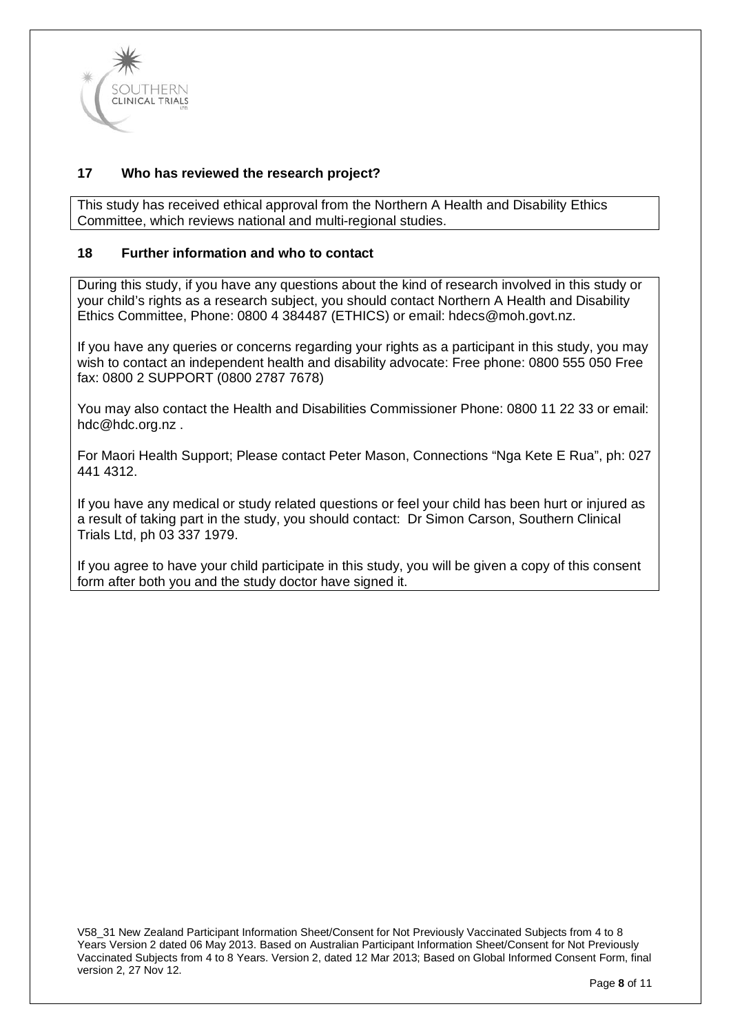

## **17 Who has reviewed the research project?**

This study has received ethical approval from the Northern A Health and Disability Ethics Committee, which reviews national and multi-regional studies.

#### **18 Further information and who to contact**

During this study, if you have any questions about the kind of research involved in this study or your child's rights as a research subject, you should contact Northern A Health and Disability Ethics Committee, Phone: 0800 4 384487 (ETHICS) or email: [hdecs@moh.govt.nz.](mailto:hdecs@moh.govt.nz)

If you have any queries or concerns regarding your rights as a participant in this study, you may wish to contact an independent health and disability advocate: Free phone: 0800 555 050 Free fax: 0800 2 SUPPORT (0800 2787 7678)

You may also contact the Health and Disabilities Commissioner Phone: 0800 11 22 33 or email: [hdc@hdc.org.nz](mailto:hdc@hdc.org.nz) .

For Maori Health Support; Please contact Peter Mason, Connections "Nga Kete E Rua", ph: 027 441 4312.

If you have any medical or study related questions or feel your child has been hurt or injured as a result of taking part in the study, you should contact: Dr Simon Carson, Southern Clinical Trials Ltd, ph 03 337 1979.

If you agree to have your child participate in this study, you will be given a copy of this consent form after both you and the study doctor have signed it.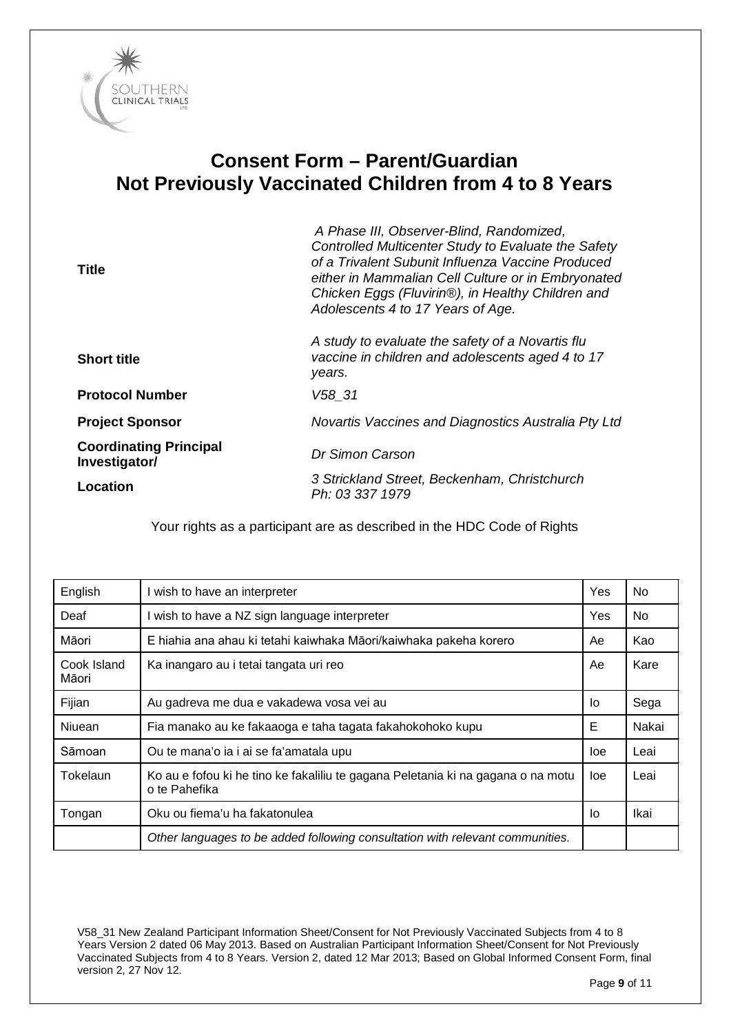

# **Consent Form – Parent/Guardian Not Previously Vaccinated Children from 4 to 8 Years**

| Title                                          | A Phase III, Observer-Blind, Randomized,<br>Controlled Multicenter Study to Evaluate the Safety<br>of a Trivalent Subunit Influenza Vaccine Produced<br>either in Mammalian Cell Culture or in Embryonated<br>Chicken Eggs (Fluvirin®), in Healthy Children and<br>Adolescents 4 to 17 Years of Age. |
|------------------------------------------------|------------------------------------------------------------------------------------------------------------------------------------------------------------------------------------------------------------------------------------------------------------------------------------------------------|
| <b>Short title</b>                             | A study to evaluate the safety of a Novartis flu<br>vaccine in children and adolescents aged 4 to 17<br>years.                                                                                                                                                                                       |
| <b>Protocol Number</b>                         | V58 31                                                                                                                                                                                                                                                                                               |
| <b>Project Sponsor</b>                         | Novartis Vaccines and Diagnostics Australia Pty Ltd                                                                                                                                                                                                                                                  |
| <b>Coordinating Principal</b><br>Investigator/ | <b>Dr Simon Carson</b>                                                                                                                                                                                                                                                                               |
| <b>Location</b>                                | 3 Strickland Street, Beckenham, Christchurch<br>Ph: 03 337 1979                                                                                                                                                                                                                                      |

Your rights as a participant are as described in the HDC Code of Rights

| English              | I wish to have an interpreter                                                                     | Yes | No.   |
|----------------------|---------------------------------------------------------------------------------------------------|-----|-------|
| Deaf                 | wish to have a NZ sign language interpreter                                                       | Yes | No.   |
| Māori                | E hiahia ana ahau ki tetahi kaiwhaka Māori/kaiwhaka pakeha korero                                 | Ae  | Kao   |
| Cook Island<br>Māori | Ka inangaro au i tetai tangata uri reo                                                            | Ae  | Kare  |
| Fijian               | Au gadreva me dua e vakadewa vosa vei au                                                          | lo  | Sega  |
| Niuean               | Fia manako au ke fakaaoga e taha tagata fakahokohoko kupu                                         | Е   | Nakai |
| Sāmoan               | Ou te mana'o ia i ai se fa'amatala upu                                                            | loe | Leai  |
| Tokelaun             | Ko au e fofou ki he tino ke fakaliliu te gagana Peletania ki na gagana o na motu<br>o te Pahefika | loe | Leai  |
| Tongan               | Oku ou fiema'u ha fakatonulea                                                                     | lo  | Ikai  |
|                      | Other languages to be added following consultation with relevant communities.                     |     |       |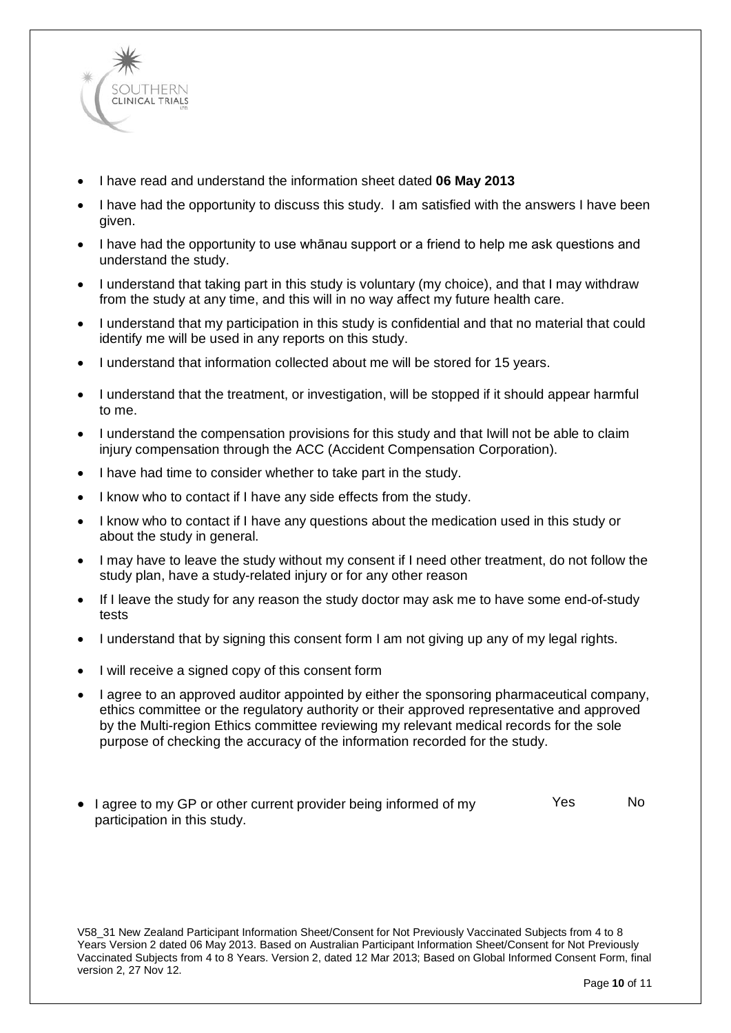

- I have read and understand the information sheet dated **06 May 2013**
- I have had the opportunity to discuss this study. I am satisfied with the answers I have been given.
- I have had the opportunity to use whānau support or a friend to help me ask questions and understand the study.
- I understand that taking part in this study is voluntary (my choice), and that I may withdraw from the study at any time, and this will in no way affect my future health care.
- I understand that my participation in this study is confidential and that no material that could identify me will be used in any reports on this study.
- I understand that information collected about me will be stored for 15 years.
- I understand that the treatment, or investigation, will be stopped if it should appear harmful to me.
- I understand the compensation provisions for this study and that Iwill not be able to claim injury compensation through the ACC (Accident Compensation Corporation).
- I have had time to consider whether to take part in the study.
- I know who to contact if I have any side effects from the study.
- I know who to contact if I have any questions about the medication used in this study or about the study in general.
- I may have to leave the study without my consent if I need other treatment, do not follow the study plan, have a study-related injury or for any other reason
- If I leave the study for any reason the study doctor may ask me to have some end-of-study tests
- I understand that by signing this consent form I am not giving up any of my legal rights.
- I will receive a signed copy of this consent form
- I agree to an approved auditor appointed by either the sponsoring pharmaceutical company, ethics committee or the regulatory authority or their approved representative and approved by the Multi-region Ethics committee reviewing my relevant medical records for the sole purpose of checking the accuracy of the information recorded for the study.
- I agree to my GP or other current provider being informed of my participation in this study. Yes No